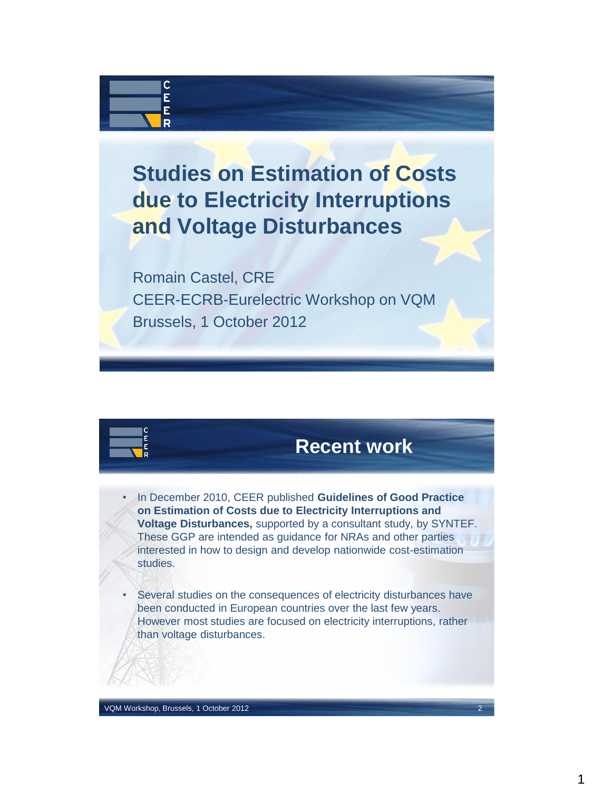## **Studies on Estimation of Costs due to Electricity Interruptions and Voltage Disturbances**

Romain Castel, CRE CEER-ECRB-Eurelectric Workshop on VQM Brussels, 1 October 2012



C Ė Ė R

## **Recent work**

- In December 2010, CEER published **Guidelines of Good Practice on Estimation of Costs due to Electricity Interruptions and Voltage Disturbances,** supported by a consultant study, by SYNTEF. These GGP are intended as guidance for NRAs and other parties interested in how to design and develop nationwide cost-estimation studies.
- Several studies on the consequences of electricity disturbances have been conducted in European countries over the last few years. However most studies are focused on electricity interruptions, rather than voltage disturbances.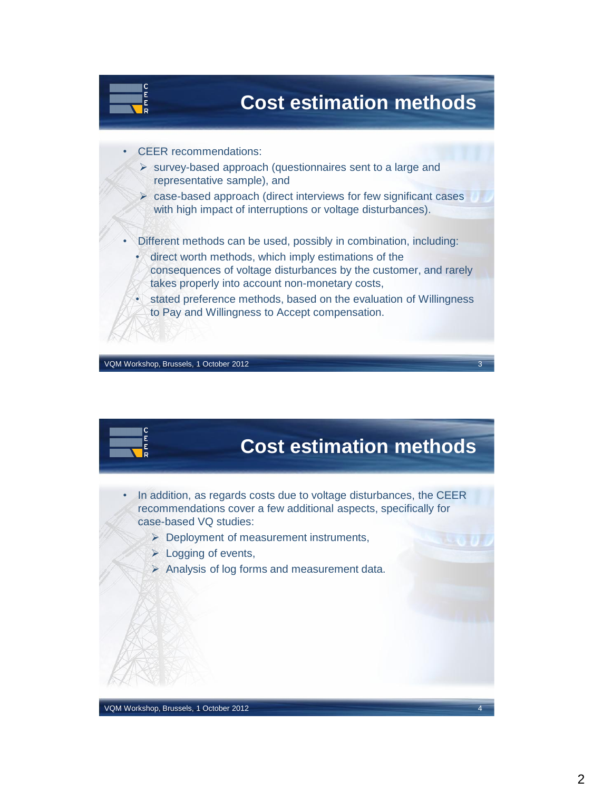

VQM Workshop, Brussels, 1 October 2012



- In addition, as regards costs due to voltage disturbances, the CEER recommendations cover a few additional aspects, specifically for case-based VQ studies:
	- **Deployment of measurement instruments,**
	- $\triangleright$  Logging of events,
	- Analysis of log forms and measurement data.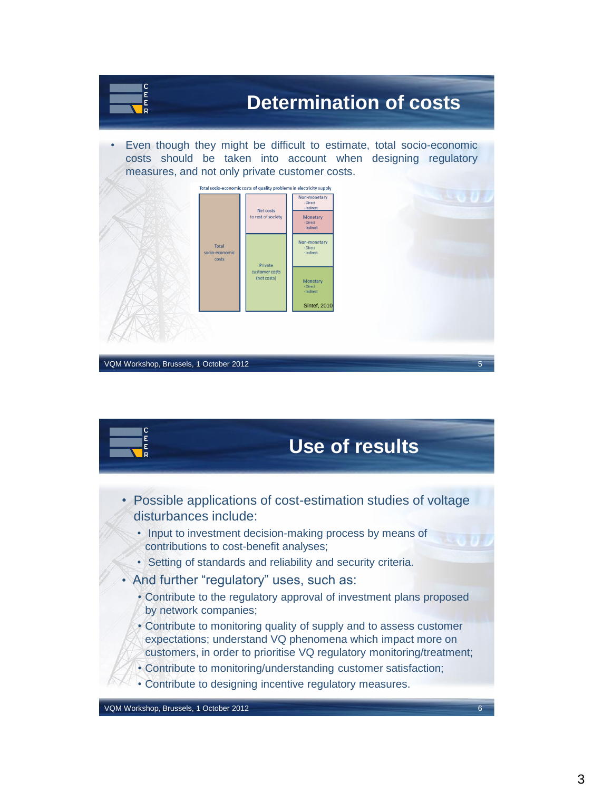

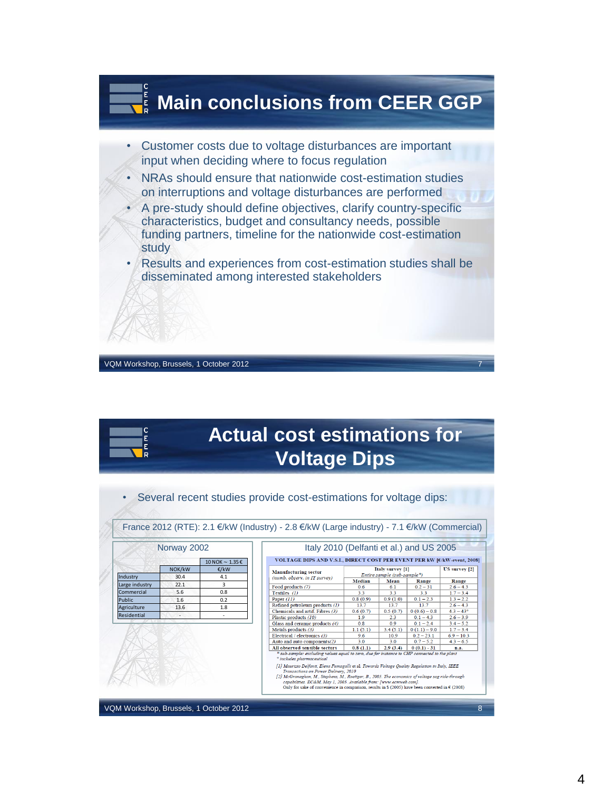